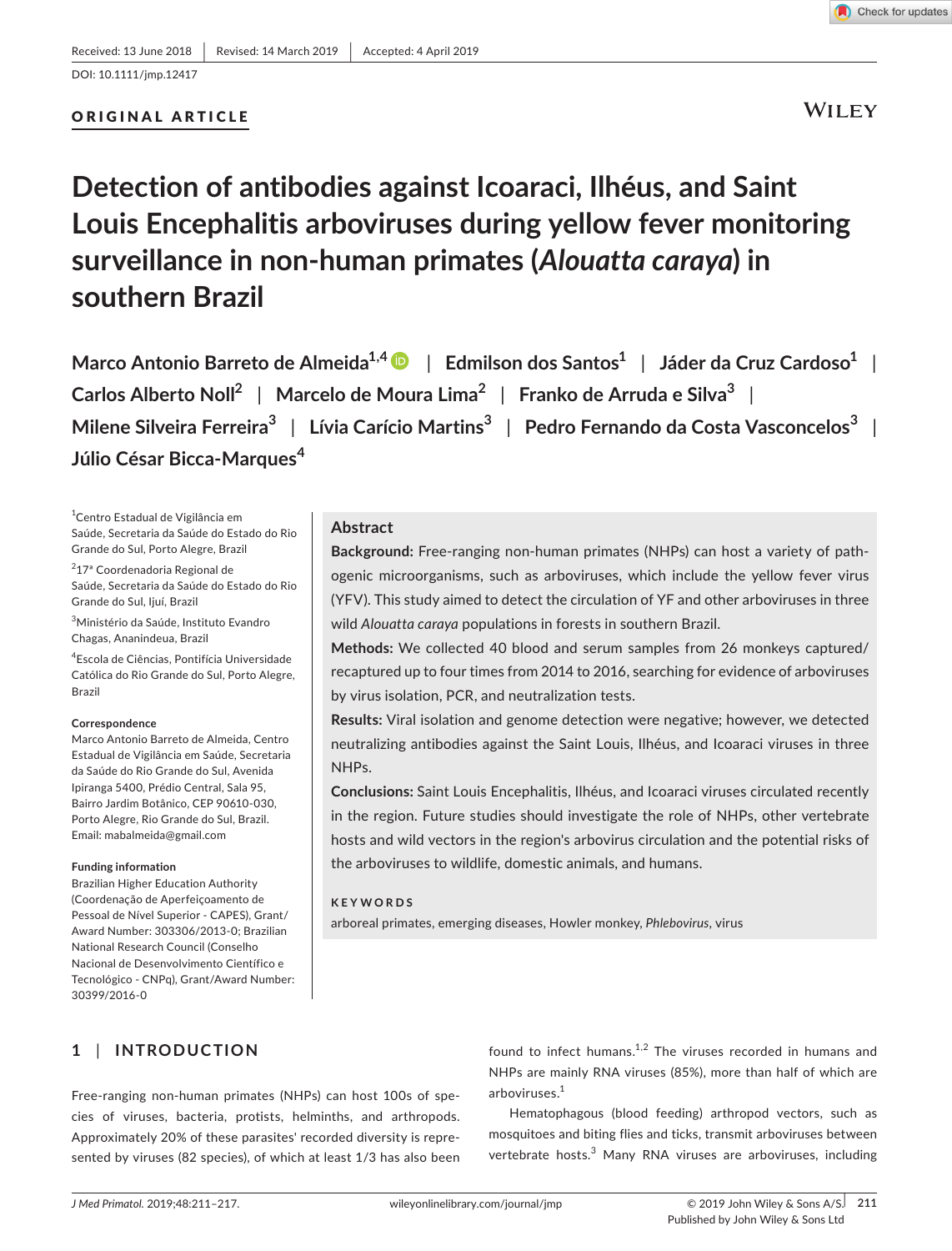#### DOI: 10.1111/jmp.12417

## ORIGINAL ARTICLE

**WILEY** 

# **Detection of antibodies against Icoaraci, Ilhéus, and Saint Louis Encephalitis arboviruses during yellow fever monitoring surveillance in non‐human primates (***Alouatta caraya***) in southern Brazil**

**Marco Antonio Barreto de Almeida1,[4](https://orcid.org/0000-0002-9718-2634)** | **Edmilson dos Santos<sup>1</sup>** | **Jáder da Cruz Cardoso<sup>1</sup>** | **Carlos Alberto Noll<sup>2</sup>** | **Marcelo de Moura Lima<sup>2</sup>** | **Franko de Arruda e Silva<sup>3</sup>** | **Milene Silveira Ferreira<sup>3</sup>** | **Lívia Carício Martins<sup>3</sup>** | **Pedro Fernando da Costa Vasconcelos<sup>3</sup>** | **Júlio César Bicca‐Marques<sup>4</sup>**

1 Centro Estadual de Vigilância em Saúde, Secretaria da Saúde do Estado do Rio Grande do Sul, Porto Alegre, Brazil

<sup>2</sup>17ª Coordenadoria Regional de Saúde, Secretaria da Saúde do Estado do Rio Grande do Sul, Ijuí, Brazil

3 Ministério da Saúde, Instituto Evandro Chagas, Ananindeua, Brazil

4 Escola de Ciências, Pontifícia Universidade Católica do Rio Grande do Sul, Porto Alegre, Brazil

#### **Correspondence**

Marco Antonio Barreto de Almeida, Centro Estadual de Vigilância em Saúde, Secretaria da Saúde do Rio Grande do Sul, Avenida Ipiranga 5400, Prédio Central, Sala 95, Bairro Jardim Botânico, CEP 90610‐030, Porto Alegre, Rio Grande do Sul, Brazil. Email: [mabalmeida@gmail.com](mailto:mabalmeida@gmail.com)

#### **Funding information**

Brazilian Higher Education Authority (Coordenação de Aperfeiçoamento de Pessoal de Nível Superior ‐ CAPES), Grant/ Award Number: 303306/2013-0; Brazilian National Research Council (Conselho Nacional de Desenvolvimento Científico e Tecnológico ‐ CNPq), Grant/Award Number: 30399/2016-0

## **Abstract**

**Background:** Free‐ranging non‐human primates (NHPs) can host a variety of path‐ ogenic microorganisms, such as arboviruses, which include the yellow fever virus (YFV). This study aimed to detect the circulation of YF and other arboviruses in three wild *Alouatta caraya* populations in forests in southern Brazil.

**Methods:** We collected 40 blood and serum samples from 26 monkeys captured/ recaptured up to four times from 2014 to 2016, searching for evidence of arboviruses by virus isolation, PCR, and neutralization tests.

**Results:** Viral isolation and genome detection were negative; however, we detected neutralizing antibodies against the Saint Louis, Ilhéus, and Icoaraci viruses in three NHPs.

**Conclusions:** Saint Louis Encephalitis, Ilhéus, and Icoaraci viruses circulated recently in the region. Future studies should investigate the role of NHPs, other vertebrate hosts and wild vectors in the region's arbovirus circulation and the potential risks of the arboviruses to wildlife, domestic animals, and humans.

### **KEYWORDS**

arboreal primates, emerging diseases, Howler monkey, *Phlebovirus*, virus

# **1** | **INTRODUCTION**

Free-ranging non-human primates (NHPs) can host 100s of species of viruses, bacteria, protists, helminths, and arthropods. Approximately 20% of these parasites' recorded diversity is repre‐ sented by viruses (82 species), of which at least 1/3 has also been found to infect humans. $1,2$  The viruses recorded in humans and NHPs are mainly RNA viruses (85%), more than half of which are arboviruses.1

Hematophagous (blood feeding) arthropod vectors, such as mosquitoes and biting flies and ticks, transmit arboviruses between vertebrate hosts.<sup>3</sup> Many RNA viruses are arboviruses, including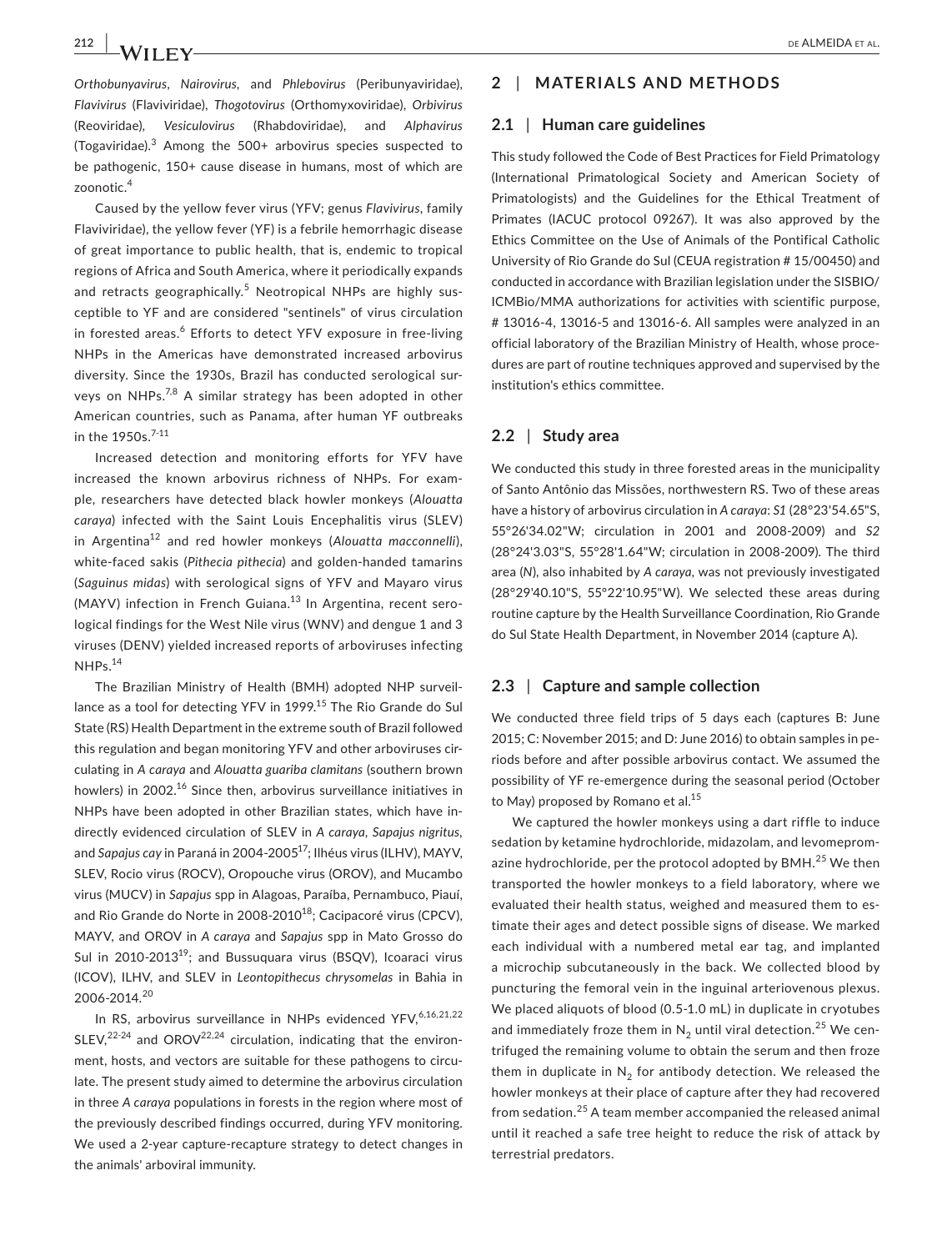*Orthobunyavirus*, *Nairovirus,* and *Phlebovirus* (Peribunyaviridae), *Flavivirus* (Flaviviridae), *Thogotovirus* (Orthomyxoviridae), *Orbivirus* (Reoviridae), *Vesiculovirus* (Rhabdoviridae), and *Alphavirus* (Togaviridae).<sup>3</sup> Among the 500+ arbovirus species suspected to be pathogenic, 150+ cause disease in humans, most of which are zoonotic.<sup>4</sup>

Caused by the yellow fever virus (YFV; genus *Flavivirus*, family Flaviviridae), the yellow fever (YF) is a febrile hemorrhagic disease of great importance to public health, that is, endemic to tropical regions of Africa and South America, where it periodically expands and retracts geographically.<sup>5</sup> Neotropical NHPs are highly susceptible to YF and are considered "sentinels" of virus circulation in forested areas.<sup>6</sup> Efforts to detect YFV exposure in free-living NHPs in the Americas have demonstrated increased arbovirus diversity. Since the 1930s, Brazil has conducted serological sur‐ veys on NHPs. $^{7,8}$  A similar strategy has been adopted in other American countries, such as Panama, after human YF outbreaks in the 1950s.<sup>7-11</sup>

Increased detection and monitoring efforts for YFV have increased the known arbovirus richness of NHPs. For exam‐ ple, researchers have detected black howler monkeys (*Alouatta caraya*) infected with the Saint Louis Encephalitis virus (SLEV) in Argentina12 and red howler monkeys (*Alouatta macconnelli*), white‐faced sakis (*Pithecia pithecia*) and golden‐handed tamarins (*Saguinus midas*) with serological signs of YFV and Mayaro virus (MAYV) infection in French Guiana.<sup>13</sup> In Argentina, recent serological findings for the West Nile virus (WNV) and dengue 1 and 3 viruses (DENV) yielded increased reports of arboviruses infecting NHPs.14

The Brazilian Ministry of Health (BMH) adopted NHP surveil‐ lance as a tool for detecting YFV in 1999.<sup>15</sup> The Rio Grande do Sul State (RS) Health Department in the extreme south of Brazil followed this regulation and began monitoring YFV and other arboviruses cir‐ culating in *A caraya* and *Alouatta guariba clamitans* (southern brown howlers) in 2002.<sup>16</sup> Since then, arbovirus surveillance initiatives in NHPs have been adopted in other Brazilian states, which have in‐ directly evidenced circulation of SLEV in *A caraya*, *Sapajus nigritus,* and *Sapajus cay* in Paraná in 2004‐200517; Ilhéus virus (ILHV), MAYV, SLEV, Rocio virus (ROCV), Oropouche virus (OROV), and Mucambo virus (MUCV) in *Sapajus* spp in Alagoas, Paraíba, Pernambuco, Piauí, and Rio Grande do Norte in 2008-2010<sup>18</sup>; Cacipacoré virus (CPCV), MAYV, and OROV in *A caraya* and *Sapajus* spp in Mato Grosso do Sul in 2010-2013<sup>19</sup>; and Bussuquara virus (BSQV), Icoaraci virus (ICOV), ILHV, and SLEV in *Leontopithecus chrysomelas* in Bahia in 2006‐2014.<sup>20</sup>

In RS, arbovirus surveillance in NHPs evidenced YFV, 6,16,21,22 SLEV, $^{22-24}$  and OROV $^{22,24}$  circulation, indicating that the environment, hosts, and vectors are suitable for these pathogens to circulate. The present study aimed to determine the arbovirus circulation in three *A caraya* populations in forests in the region where most of the previously described findings occurred, during YFV monitoring. We used a 2‐year capture‐recapture strategy to detect changes in the animals' arboviral immunity.

# **2** | **MATERIALS AND METHODS**

#### **2.1** | **Human care guidelines**

This study followed the Code of Best Practices for Field Primatology (International Primatological Society and American Society of Primatologists) and the Guidelines for the Ethical Treatment of Primates (IACUC protocol 09267). It was also approved by the Ethics Committee on the Use of Animals of the Pontifical Catholic University of Rio Grande do Sul (CEUA registration # 15/00450) and conducted in accordance with Brazilian legislation under the SISBIO/ ICMBio/MMA authorizations for activities with scientific purpose, # 13016‐4, 13016‐5 and 13016‐6. All samples were analyzed in an official laboratory of the Brazilian Ministry of Health, whose proce‐ dures are part of routine techniques approved and supervised by the institution's ethics committee.

#### **2.2** | **Study area**

We conducted this study in three forested areas in the municipality of Santo Antônio das Missões, northwestern RS. Two of these areas have a history of arbovirus circulation in *A caraya*: *S1* (28°23'54.65"S, 55°26'34.02"W; circulation in 2001 and 2008‐2009) and *S2* (28°24'3.03"S, 55°28'1.64"W; circulation in 2008‐2009). The third area (*N*), also inhabited by *A caraya*, was not previously investigated (28°29'40.10"S, 55°22'10.95"W). We selected these areas during routine capture by the Health Surveillance Coordination, Rio Grande do Sul State Health Department, in November 2014 (capture A).

## **2.3** | **Capture and sample collection**

We conducted three field trips of 5 days each (captures B: June 2015; C: November 2015; and D: June 2016) to obtain samples in pe‐ riods before and after possible arbovirus contact. We assumed the possibility of YF re‐emergence during the seasonal period (October to May) proposed by Romano et al.<sup>15</sup>

We captured the howler monkeys using a dart riffle to induce sedation by ketamine hydrochloride, midazolam, and levomeprom‐ azine hydrochloride, per the protocol adopted by  $BMH<sup>25</sup>$  We then transported the howler monkeys to a field laboratory, where we evaluated their health status, weighed and measured them to es‐ timate their ages and detect possible signs of disease. We marked each individual with a numbered metal ear tag, and implanted a microchip subcutaneously in the back. We collected blood by puncturing the femoral vein in the inguinal arteriovenous plexus. We placed aliquots of blood (0.5-1.0 mL) in duplicate in cryotubes and immediately froze them in  $N_2$  until viral detection.<sup>25</sup> We centrifuged the remaining volume to obtain the serum and then froze them in duplicate in  $N<sub>2</sub>$  for antibody detection. We released the howler monkeys at their place of capture after they had recovered from sedation.25 A team member accompanied the released animal until it reached a safe tree height to reduce the risk of attack by terrestrial predators.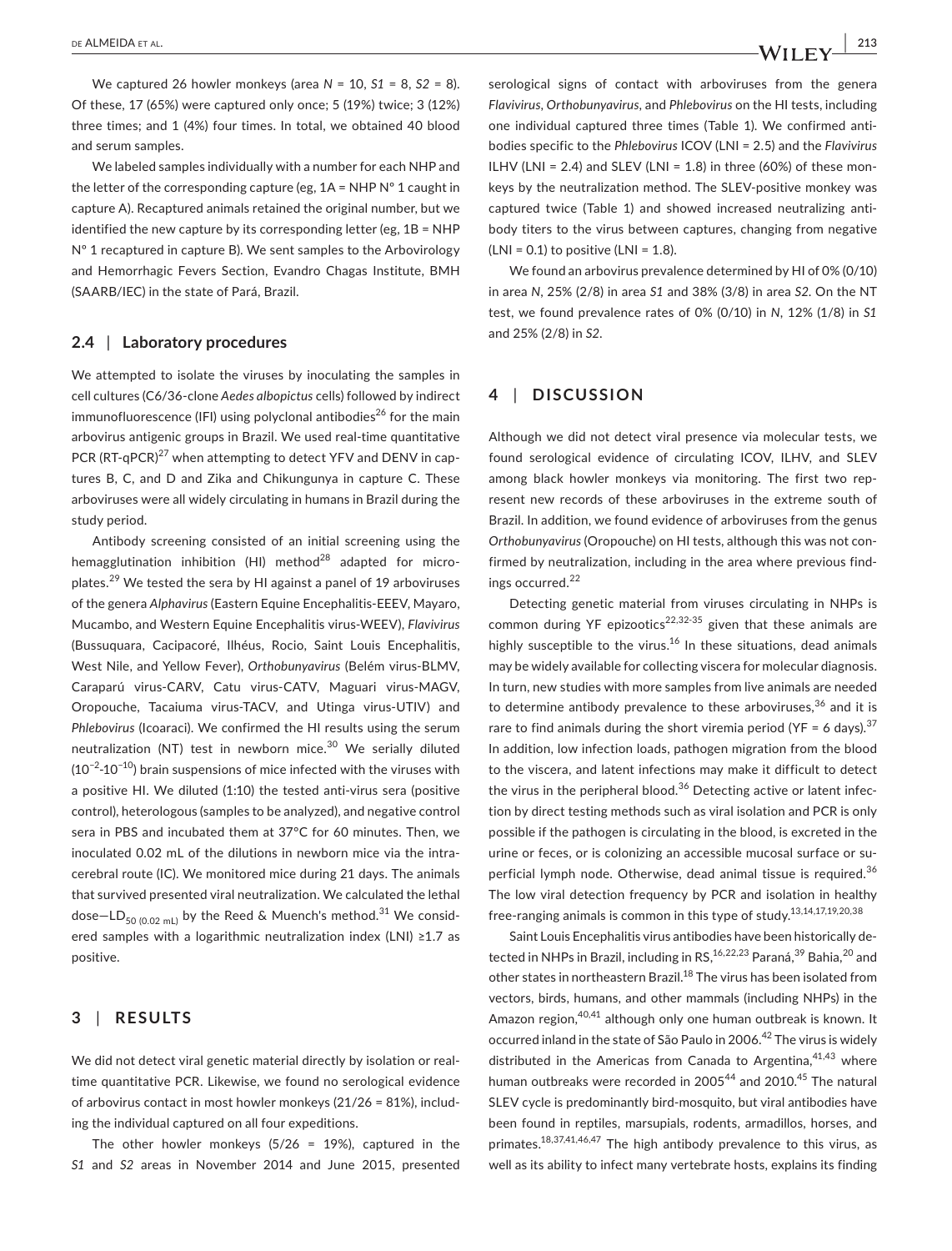We captured 26 howler monkeys (area *N* = 10, *S1* = 8, *S2* = 8). Of these, 17 (65%) were captured only once; 5 (19%) twice; 3 (12%) three times; and 1 (4%) four times. In total, we obtained 40 blood and serum samples.

We labeled samples individually with a number for each NHP and the letter of the corresponding capture (eg,  $1A = NHP N<sup>o</sup> 1$  caught in capture A). Recaptured animals retained the original number, but we identified the new capture by its corresponding letter (eg, 1B = NHP Nº 1 recaptured in capture B). We sent samples to the Arbovirology and Hemorrhagic Fevers Section, Evandro Chagas Institute, BMH (SAARB/IEC) in the state of Pará, Brazil.

## **2.4** | **Laboratory procedures**

We attempted to isolate the viruses by inoculating the samples in cell cultures (C6/36‐clone *Aedes albopictus* cells) followed by indirect immunofluorescence (IFI) using polyclonal antibodies<sup>26</sup> for the main arbovirus antigenic groups in Brazil. We used real-time quantitative PCR (RT-qPCR)<sup>27</sup> when attempting to detect YFV and DENV in captures B, C, and D and Zika and Chikungunya in capture C. These arboviruses were all widely circulating in humans in Brazil during the study period.

Antibody screening consisted of an initial screening using the hemagglutination inhibition (HI) method<sup>28</sup> adapted for microplates.29 We tested the sera by HI against a panel of 19 arboviruses of the genera *Alphavirus* (Eastern Equine Encephalitis‐EEEV, Mayaro, Mucambo, and Western Equine Encephalitis virus‐WEEV), *Flavivirus* (Bussuquara, Cacipacoré, Ilhéus, Rocio, Saint Louis Encephalitis, West Nile, and Yellow Fever), *Orthobunyavirus* (Belém virus‐BLMV, Caraparú virus‐CARV, Catu virus‐CATV, Maguari virus‐MAGV, Oropouche, Tacaiuma virus‐TACV, and Utinga virus‐UTIV) and *Phlebovirus* (Icoaraci). We confirmed the HI results using the serum neutralization (NT) test in newborn mice.<sup>30</sup> We serially diluted (10−2‐10−10) brain suspensions of mice infected with the viruses with a positive HI. We diluted (1:10) the tested anti-virus sera (positive control), heterologous (samples to be analyzed), and negative control sera in PBS and incubated them at 37°C for 60 minutes. Then, we inoculated 0.02 mL of the dilutions in newborn mice via the intracerebral route (IC). We monitored mice during 21 days. The animals that survived presented viral neutralization. We calculated the lethal dose–LD<sub>50 (0.02 mL)</sub> by the Reed & Muench's method.<sup>31</sup> We considered samples with a logarithmic neutralization index (LNI) ≥1.7 as positive.

# **3** | **RESULTS**

We did not detect viral genetic material directly by isolation or realtime quantitative PCR. Likewise, we found no serological evidence of arbovirus contact in most howler monkeys (21/26 = 81%), includ‐ ing the individual captured on all four expeditions.

The other howler monkeys  $(5/26 = 19%)$ , captured in the *S1* and *S2* areas in November 2014 and June 2015, presented serological signs of contact with arboviruses from the genera *Flavivirus*, *Orthobunyavirus,* and *Phlebovirus* on the HI tests, including one individual captured three times (Table 1). We confirmed anti‐ bodies specific to the *Phlebovirus* ICOV (LNI = 2.5) and the *Flavivirus* ILHV (LNI = 2.4) and SLEV (LNI = 1.8) in three (60%) of these monkeys by the neutralization method. The SLEV‐positive monkey was captured twice (Table 1) and showed increased neutralizing anti‐ body titers to the virus between captures, changing from negative  $(LNI = 0.1)$  to positive  $(LNI = 1.8)$ .

We found an arbovirus prevalence determined by HI of 0% (0/10) in area *N*, 25% (2/8) in area *S1* and 38% (3/8) in area *S2*. On the NT test, we found prevalence rates of 0% (0/10) in *N*, 12% (1/8) in *S1* and 25% (2/8) in *S2*.

# **4** | **DISCUSSION**

Although we did not detect viral presence via molecular tests, we found serological evidence of circulating ICOV, ILHV, and SLEV among black howler monkeys via monitoring. The first two represent new records of these arboviruses in the extreme south of Brazil. In addition, we found evidence of arboviruses from the genus *Orthobunyavirus* (Oropouche) on HI tests, although this was not con‐ firmed by neutralization, including in the area where previous find‐ ings occurred.<sup>22</sup>

Detecting genetic material from viruses circulating in NHPs is common during YF epizootics<sup>22,32-35</sup> given that these animals are highly susceptible to the virus.<sup>16</sup> In these situations, dead animals may be widely available for collecting viscera for molecular diagnosis. In turn, new studies with more samples from live animals are needed to determine antibody prevalence to these arboviruses,  $36$  and it is rare to find animals during the short viremia period (YF = 6 days).<sup>37</sup> In addition, low infection loads, pathogen migration from the blood to the viscera, and latent infections may make it difficult to detect the virus in the peripheral blood. $36$  Detecting active or latent infection by direct testing methods such as viral isolation and PCR is only possible if the pathogen is circulating in the blood, is excreted in the urine or feces, or is colonizing an accessible mucosal surface or superficial lymph node. Otherwise, dead animal tissue is required.<sup>36</sup> The low viral detection frequency by PCR and isolation in healthy free-ranging animals is common in this type of study.<sup>13,14,17,19,20,38</sup>

Saint Louis Encephalitis virus antibodies have been historically de‐ tected in NHPs in Brazil, including in RS, <sup>16, 22, 23</sup> Paraná, <sup>39</sup> Bahia, <sup>20</sup> and other states in northeastern Brazil.<sup>18</sup> The virus has been isolated from vectors, birds, humans, and other mammals (including NHPs) in the Amazon region, 40,41 although only one human outbreak is known. It occurred inland in the state of São Paulo in 2006.<sup>42</sup> The virus is widely distributed in the Americas from Canada to Argentina,  $41,43$  where human outbreaks were recorded in 2005<sup>44</sup> and 2010.<sup>45</sup> The natural SLEV cycle is predominantly bird‐mosquito, but viral antibodies have been found in reptiles, marsupials, rodents, armadillos, horses, and primates.18,37,41,46,47 The high antibody prevalence to this virus, as well as its ability to infect many vertebrate hosts, explains its finding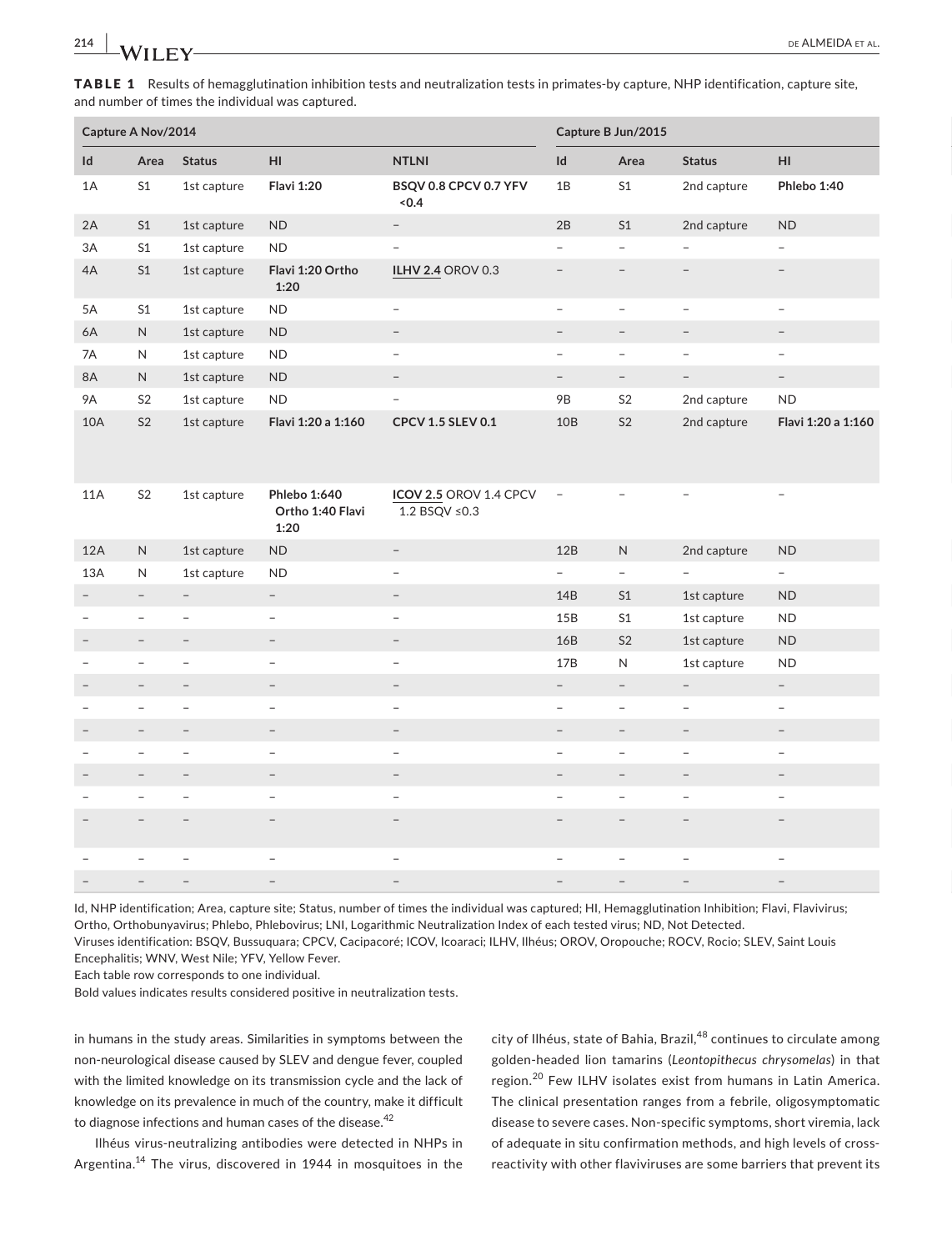TABLE 1 Results of hemagglutination inhibition tests and neutralization tests in primates-by capture, NHP identification, capture site, and number of times the individual was captured.

|                          | Capture A Nov/2014       |                                 |                                                 |                                           |                                 | Capture B Jun/2015              |                          |                          |
|--------------------------|--------------------------|---------------------------------|-------------------------------------------------|-------------------------------------------|---------------------------------|---------------------------------|--------------------------|--------------------------|
| $\mathsf{Id}$            |                          | Area Status                     | H1                                              | <b>NTLNI</b>                              | $\mathsf{Id}$                   | Area                            | Status                   | $\mathsf{H}\mathsf{I}$   |
| 1A                       | S <sub>1</sub>           | 1st capture                     | <b>Flavi 1:20</b>                               | BSQV 0.8 CPCV 0.7 YFV<br>$<0.4$           | 1B                              | S <sub>1</sub>                  | 2nd capture              | Phlebo 1:40              |
| 2A                       | S1                       | 1st capture ND                  |                                                 | $\sim$                                    | $2B$                            | S1                              | 2nd capture              | ND                       |
| 3A                       | S <sub>1</sub>           | 1st capture                     | <b>ND</b>                                       | $\equiv$                                  | $\sim$                          | $\sim$                          | $\overline{a}$           | $\overline{\phantom{a}}$ |
| 4A                       | S1                       | 1st capture                     | Flavi 1:20 Ortho<br>1:20                        | ILHV 2.4 OROV 0.3                         | $\sim$                          | $\hspace{0.1mm}-\hspace{0.1mm}$ | $\overline{\phantom{a}}$ | $\overline{\phantom{a}}$ |
| 5A                       | S <sub>1</sub>           | 1st capture                     | <b>ND</b>                                       | $\sim$                                    | $\overline{\phantom{a}}$        | $\sim$                          | $\overline{\phantom{a}}$ | $\overline{a}$           |
| 6A                       | N                        | 1st capture ND                  |                                                 | $\sim$                                    | $ \,$                           |                                 | $\overline{\phantom{m}}$ | $\overline{\phantom{m}}$ |
| 7A                       | N                        | 1st capture                     | <b>ND</b>                                       | $\sim$                                    | $\overline{\phantom{a}}$        | $\overline{\phantom{0}}$        | $\overline{\phantom{a}}$ | $\!-$                    |
| <b>8A</b>                | N                        | 1st capture                     | ND                                              | $\overline{\phantom{a}}$                  | $\hspace{0.1mm}-\hspace{0.1mm}$ | $\sim$                          | $\sim$                   | $ \,$                    |
| <b>9A</b>                | S <sub>2</sub>           | 1st capture                     | <b>ND</b>                                       | $\sim$                                    | <b>9B</b>                       | S <sub>2</sub>                  | 2nd capture              | <b>ND</b>                |
| 10A                      | S <sub>2</sub>           | 1st capture                     | Flavi 1:20 a 1:160                              | CPCV 1.5 SLEV 0.1                         | 10B                             | S <sub>2</sub>                  | 2nd capture              | Flavi 1:20 a 1:160       |
| <b>11A</b>               | S <sub>2</sub>           | 1st capture                     | <b>Phlebo 1:640</b><br>Ortho 1:40 Flavi<br>1:20 | ICOV 2.5 OROV 1.4 CPCV -<br>1.2 BSQV ≤0.3 |                                 | $-$                             | $\overline{\phantom{a}}$ |                          |
| 12A                      | N                        | 1st capture                     | <b>ND</b>                                       | $\sim$                                    | 12B                             | N                               | 2nd capture              | <b>ND</b>                |
| 13A                      | N                        | 1st capture                     | <b>ND</b>                                       | $\overline{\phantom{a}}$                  | $\sim$                          | $\sim$                          | $ \,$                    | $\sim$                   |
| $\sim$                   | $-$                      | $\hspace{0.1mm}-\hspace{0.1mm}$ | $\sim$                                          | $\sim$                                    | 14B                             | S1                              | 1st capture              | <b>ND</b>                |
| $\overline{\phantom{a}}$ | $\overline{\phantom{a}}$ | $\overline{\phantom{a}}$        | $\equiv$                                        | $\sim$                                    | 15B                             | S <sub>1</sub>                  | 1st capture              | <b>ND</b>                |
| $\overline{\phantom{a}}$ | $\overline{\phantom{0}}$ | $\overline{\phantom{0}}$        | $\equiv$                                        | $\sim$                                    | 16B                             | S <sub>2</sub>                  | 1st capture              | <b>ND</b>                |
| $\!-$                    |                          | $\overline{\phantom{m}}$        | $\overline{\phantom{a}}$                        | $\overline{\phantom{0}}$                  | 17B                             | N                               | 1st capture              | <b>ND</b>                |
| $\overline{\phantom{a}}$ |                          | $\overline{\phantom{m}}$        | $\overline{\phantom{0}}$                        | $\overline{\phantom{a}}$                  | $\overline{\phantom{a}}$        | $\overline{\phantom{a}}$        | $\overline{\phantom{m}}$ | $\overline{\phantom{a}}$ |
| $\overline{\phantom{a}}$ | $\qquad \qquad -$        | $\overline{\phantom{a}}$        | $\equiv$                                        | $\sim$                                    | $\sim$                          | $-$                             | $\overline{\phantom{a}}$ | $\overline{\phantom{a}}$ |
| $\equiv$                 | $\overline{\phantom{a}}$ | $\hspace{0.1mm}-\hspace{0.1mm}$ | $\equiv$                                        | $\sim$                                    | $\overline{\phantom{a}}$        |                                 | $\overline{\phantom{a}}$ | $-$                      |
| $\overline{\phantom{a}}$ | $\overline{\phantom{a}}$ | $\overline{\phantom{a}}$        | $\overline{\phantom{a}}$                        | $\overline{\phantom{0}}$                  | $\overline{\phantom{0}}$        |                                 | $\overline{\phantom{0}}$ | $\overline{\phantom{a}}$ |
| $\overline{\phantom{a}}$ | $\overline{\phantom{a}}$ | $\hspace{0.1mm}$                | $\overline{\phantom{a}}$                        | $\sim$                                    | $\overline{\phantom{0}}$        | $-$                             | $\overline{\phantom{m}}$ | $\sim$                   |
| $\overline{a}$           | $\!-$                    | $\overline{\phantom{a}}$        | $\overline{\phantom{a}}$                        | $\overline{\phantom{a}}$                  | $\overline{\phantom{a}}$        | $\overline{\phantom{a}}$        | $\overline{\phantom{a}}$ | $\overline{\phantom{a}}$ |
|                          |                          |                                 | $\overline{\phantom{0}}$                        | $\overline{\phantom{0}}$                  |                                 |                                 |                          | $\overline{\phantom{a}}$ |
| $\overline{\phantom{0}}$ |                          |                                 | $\overline{\phantom{0}}$                        | $\overline{\phantom{0}}$                  | $\overline{\phantom{0}}$        | $\overline{\phantom{0}}$        | $\overline{\phantom{a}}$ | $\sim$                   |
|                          |                          |                                 | $\overline{\phantom{m}}$                        | $\overline{\phantom{a}}$                  |                                 |                                 | $\overline{\phantom{0}}$ | $\overline{\phantom{a}}$ |

Id, NHP identification; Area, capture site; Status, number of times the individual was captured; HI, Hemagglutination Inhibition; Flavi, Flavivirus; Ortho, Orthobunyavirus; Phlebo, Phlebovirus; LNI, Logarithmic Neutralization Index of each tested virus; ND, Not Detected.

Viruses identification: BSQV, Bussuquara; CPCV, Cacipacoré; ICOV, Icoaraci; ILHV, Ilhéus; OROV, Oropouche; ROCV, Rocio; SLEV, Saint Louis Encephalitis; WNV, West Nile; YFV, Yellow Fever.

Each table row corresponds to one individual.

Bold values indicates results considered positive in neutralization tests.

in humans in the study areas. Similarities in symptoms between the non‐neurological disease caused by SLEV and dengue fever, coupled with the limited knowledge on its transmission cycle and the lack of knowledge on its prevalence in much of the country, make it difficult to diagnose infections and human cases of the disease.<sup>42</sup>

Ilhéus virus‐neutralizing antibodies were detected in NHPs in Argentina.14 The virus, discovered in 1944 in mosquitoes in the city of Ilhéus, state of Bahia, Brazil, $48$  continues to circulate among golden‐headed lion tamarins (*Leontopithecus chrysomelas*) in that region.<sup>20</sup> Few ILHV isolates exist from humans in Latin America. The clinical presentation ranges from a febrile, oligosymptomatic disease to severe cases. Non‐specific symptoms, short viremia, lack of adequate in situ confirmation methods, and high levels of cross‐ reactivity with other flaviviruses are some barriers that prevent its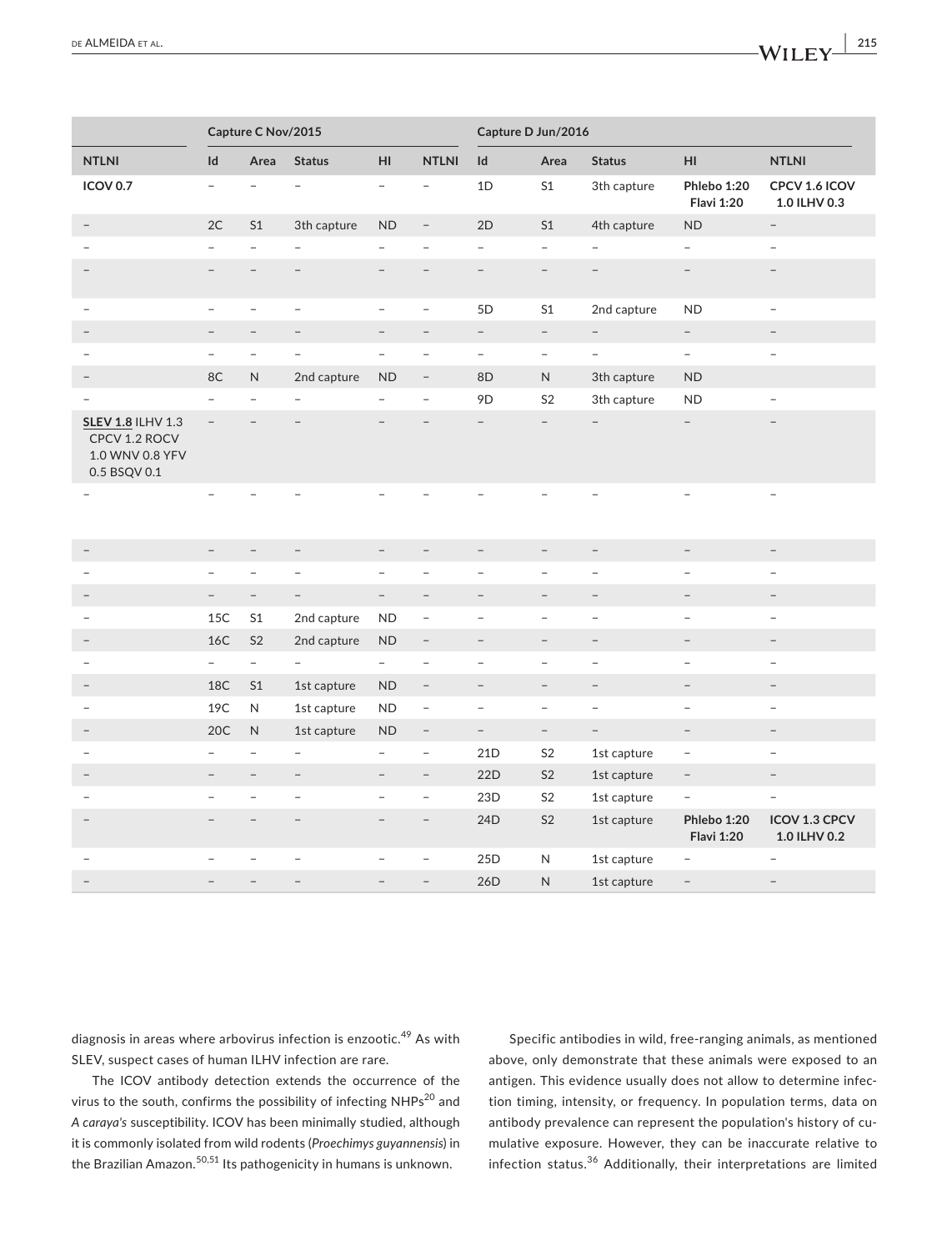| NTLNI Id<br><b>NTLNI</b><br>Id Area Status<br>HI<br>Area<br>Status<br>HI<br>S1<br>Phlebo 1:20<br>CPCV 1.6 ICOV<br>1D<br>3th capture<br>$-$<br>$\overline{\phantom{a}}$<br>$\overline{\phantom{a}}$<br>1.0 ILHV 0.3<br><b>Flavi 1:20</b><br>3th capture ND<br>2D<br>S1<br>4th capture<br><b>ND</b><br>$\sim$<br>$\sim$ $-$<br>$\overline{\phantom{a}}$<br>$\overline{\phantom{a}}$<br>$\overline{\phantom{a}}$<br>$\overline{\phantom{a}}$<br>$\overline{\phantom{0}}$<br>$\overline{\phantom{a}}$<br>$\hspace{0.1mm}-\hspace{0.1mm}$<br>5 <sub>D</sub><br>S1<br><b>ND</b><br>2nd capture<br>$\overline{a}$<br>$\sim$<br>$-$<br>$\overline{\phantom{a}}$<br>$\sim$<br>$\sim$<br>$\sim$<br>$\sim$<br>$\sim$<br>$-$<br>$\overline{\phantom{0}}$<br>$\overline{\phantom{a}}$<br>$\equiv$<br>$\overline{\phantom{0}}$<br>$\overline{\phantom{0}}$<br><b>ND</b><br>2nd capture ND<br>$8\mathsf{D}$<br>3th capture<br>N<br>$\overline{\phantom{0}}$<br>9D<br>S <sub>2</sub><br>3th capture<br><b>ND</b><br>$\overline{\phantom{a}}$<br>$\overline{\phantom{a}}$<br>$\sim$<br>$\overline{\phantom{m}}$<br>$\overline{\phantom{a}}$<br>$\overline{\phantom{a}}$<br>$\overline{\phantom{a}}$<br>$\overline{\phantom{a}}$ |
|----------------------------------------------------------------------------------------------------------------------------------------------------------------------------------------------------------------------------------------------------------------------------------------------------------------------------------------------------------------------------------------------------------------------------------------------------------------------------------------------------------------------------------------------------------------------------------------------------------------------------------------------------------------------------------------------------------------------------------------------------------------------------------------------------------------------------------------------------------------------------------------------------------------------------------------------------------------------------------------------------------------------------------------------------------------------------------------------------------------------------------------------------------------------------------------------------------------|
|                                                                                                                                                                                                                                                                                                                                                                                                                                                                                                                                                                                                                                                                                                                                                                                                                                                                                                                                                                                                                                                                                                                                                                                                                |
|                                                                                                                                                                                                                                                                                                                                                                                                                                                                                                                                                                                                                                                                                                                                                                                                                                                                                                                                                                                                                                                                                                                                                                                                                |
|                                                                                                                                                                                                                                                                                                                                                                                                                                                                                                                                                                                                                                                                                                                                                                                                                                                                                                                                                                                                                                                                                                                                                                                                                |
|                                                                                                                                                                                                                                                                                                                                                                                                                                                                                                                                                                                                                                                                                                                                                                                                                                                                                                                                                                                                                                                                                                                                                                                                                |
|                                                                                                                                                                                                                                                                                                                                                                                                                                                                                                                                                                                                                                                                                                                                                                                                                                                                                                                                                                                                                                                                                                                                                                                                                |
|                                                                                                                                                                                                                                                                                                                                                                                                                                                                                                                                                                                                                                                                                                                                                                                                                                                                                                                                                                                                                                                                                                                                                                                                                |
|                                                                                                                                                                                                                                                                                                                                                                                                                                                                                                                                                                                                                                                                                                                                                                                                                                                                                                                                                                                                                                                                                                                                                                                                                |
|                                                                                                                                                                                                                                                                                                                                                                                                                                                                                                                                                                                                                                                                                                                                                                                                                                                                                                                                                                                                                                                                                                                                                                                                                |
|                                                                                                                                                                                                                                                                                                                                                                                                                                                                                                                                                                                                                                                                                                                                                                                                                                                                                                                                                                                                                                                                                                                                                                                                                |
|                                                                                                                                                                                                                                                                                                                                                                                                                                                                                                                                                                                                                                                                                                                                                                                                                                                                                                                                                                                                                                                                                                                                                                                                                |
|                                                                                                                                                                                                                                                                                                                                                                                                                                                                                                                                                                                                                                                                                                                                                                                                                                                                                                                                                                                                                                                                                                                                                                                                                |
|                                                                                                                                                                                                                                                                                                                                                                                                                                                                                                                                                                                                                                                                                                                                                                                                                                                                                                                                                                                                                                                                                                                                                                                                                |
| $\sim$<br>$\sim$<br>$\sim$<br>$\sim$<br>$\overline{\phantom{a}}$<br>$\overline{\phantom{a}}$<br>$ \,$                                                                                                                                                                                                                                                                                                                                                                                                                                                                                                                                                                                                                                                                                                                                                                                                                                                                                                                                                                                                                                                                                                          |
|                                                                                                                                                                                                                                                                                                                                                                                                                                                                                                                                                                                                                                                                                                                                                                                                                                                                                                                                                                                                                                                                                                                                                                                                                |
| $\sim$ $-$<br>$\sim$<br>$-$<br>$-$<br>$-$<br>$\overline{\phantom{a}}$                                                                                                                                                                                                                                                                                                                                                                                                                                                                                                                                                                                                                                                                                                                                                                                                                                                                                                                                                                                                                                                                                                                                          |
| 2nd capture ND<br>$\overline{\phantom{a}}$<br>$\sim$<br>$\overline{\phantom{a}}$                                                                                                                                                                                                                                                                                                                                                                                                                                                                                                                                                                                                                                                                                                                                                                                                                                                                                                                                                                                                                                                                                                                               |
| 2nd capture ND<br>$\overline{\phantom{a}}$<br>$\sim$<br>$\overline{\phantom{a}}$<br>$\overline{\phantom{0}}$                                                                                                                                                                                                                                                                                                                                                                                                                                                                                                                                                                                                                                                                                                                                                                                                                                                                                                                                                                                                                                                                                                   |
| $\overline{\phantom{a}}$<br>$\overline{\phantom{a}}$<br>$\overline{\phantom{a}}$<br>$\overline{\phantom{a}}$<br>$\overline{\phantom{0}}$                                                                                                                                                                                                                                                                                                                                                                                                                                                                                                                                                                                                                                                                                                                                                                                                                                                                                                                                                                                                                                                                       |
| 1st capture ND<br>$\sim$ $-$<br>$\sim$<br>$\overline{\phantom{a}}$<br>$\overline{\phantom{a}}$                                                                                                                                                                                                                                                                                                                                                                                                                                                                                                                                                                                                                                                                                                                                                                                                                                                                                                                                                                                                                                                                                                                 |
| 1st capture ND<br>$\overline{a}$<br>$\overline{\phantom{0}}$<br>$\overline{\phantom{0}}$                                                                                                                                                                                                                                                                                                                                                                                                                                                                                                                                                                                                                                                                                                                                                                                                                                                                                                                                                                                                                                                                                                                       |
| 1st capture ND<br>$\sim$ $-$<br>$\sim$<br>$\sim$<br>$\overline{\phantom{0}}$<br>$\overline{\phantom{a}}$<br>$\sim$                                                                                                                                                                                                                                                                                                                                                                                                                                                                                                                                                                                                                                                                                                                                                                                                                                                                                                                                                                                                                                                                                             |
| S <sub>2</sub><br>21D<br>1st capture<br>$\sim$ $-$<br>$\sim$<br>$\overline{\phantom{a}}$<br>$ \,$<br>$\hspace{0.1cm} -$                                                                                                                                                                                                                                                                                                                                                                                                                                                                                                                                                                                                                                                                                                                                                                                                                                                                                                                                                                                                                                                                                        |
| 22D<br>S <sub>2</sub><br>1st capture<br>$\mathcal{L}=\mathcal{L}$<br>$\sim$<br>$\overline{\phantom{a}}$<br>$-$<br>$\sim$                                                                                                                                                                                                                                                                                                                                                                                                                                                                                                                                                                                                                                                                                                                                                                                                                                                                                                                                                                                                                                                                                       |
| 23D<br>S <sub>2</sub><br>1st capture<br>$\hspace{0.1mm}-\hspace{0.1mm}$<br>$\overline{\phantom{a}}$<br>$\overline{\phantom{a}}$<br>$\sim$<br>$\overline{\phantom{a}}$                                                                                                                                                                                                                                                                                                                                                                                                                                                                                                                                                                                                                                                                                                                                                                                                                                                                                                                                                                                                                                          |
| 24D<br>S <sub>2</sub><br>Phlebo 1:20    ICOV 1.3 CPCV<br>1st capture<br>$\overline{\phantom{a}}$                                                                                                                                                                                                                                                                                                                                                                                                                                                                                                                                                                                                                                                                                                                                                                                                                                                                                                                                                                                                                                                                                                               |
|                                                                                                                                                                                                                                                                                                                                                                                                                                                                                                                                                                                                                                                                                                                                                                                                                                                                                                                                                                                                                                                                                                                                                                                                                |
| <b>Flavi 1:20</b><br>1.0 ILHV 0.2<br>25D<br>N<br>1st capture<br>$\overline{\phantom{a}}$                                                                                                                                                                                                                                                                                                                                                                                                                                                                                                                                                                                                                                                                                                                                                                                                                                                                                                                                                                                                                                                                                                                       |

diagnosis in areas where arbovirus infection is enzootic.49 As with SLEV, suspect cases of human ILHV infection are rare.

The ICOV antibody detection extends the occurrence of the virus to the south, confirms the possibility of infecting NHPs<sup>20</sup> and *A caraya's* susceptibility. ICOV has been minimally studied, although it is commonly isolated from wild rodents (*Proechimys guyannensis*) in the Brazilian Amazon.<sup>50,51</sup> Its pathogenicity in humans is unknown.

Specific antibodies in wild, free‐ranging animals, as mentioned above, only demonstrate that these animals were exposed to an antigen. This evidence usually does not allow to determine infec‐ tion timing, intensity, or frequency. In population terms, data on antibody prevalence can represent the population's history of cu‐ mulative exposure. However, they can be inaccurate relative to infection status.36 Additionally, their interpretations are limited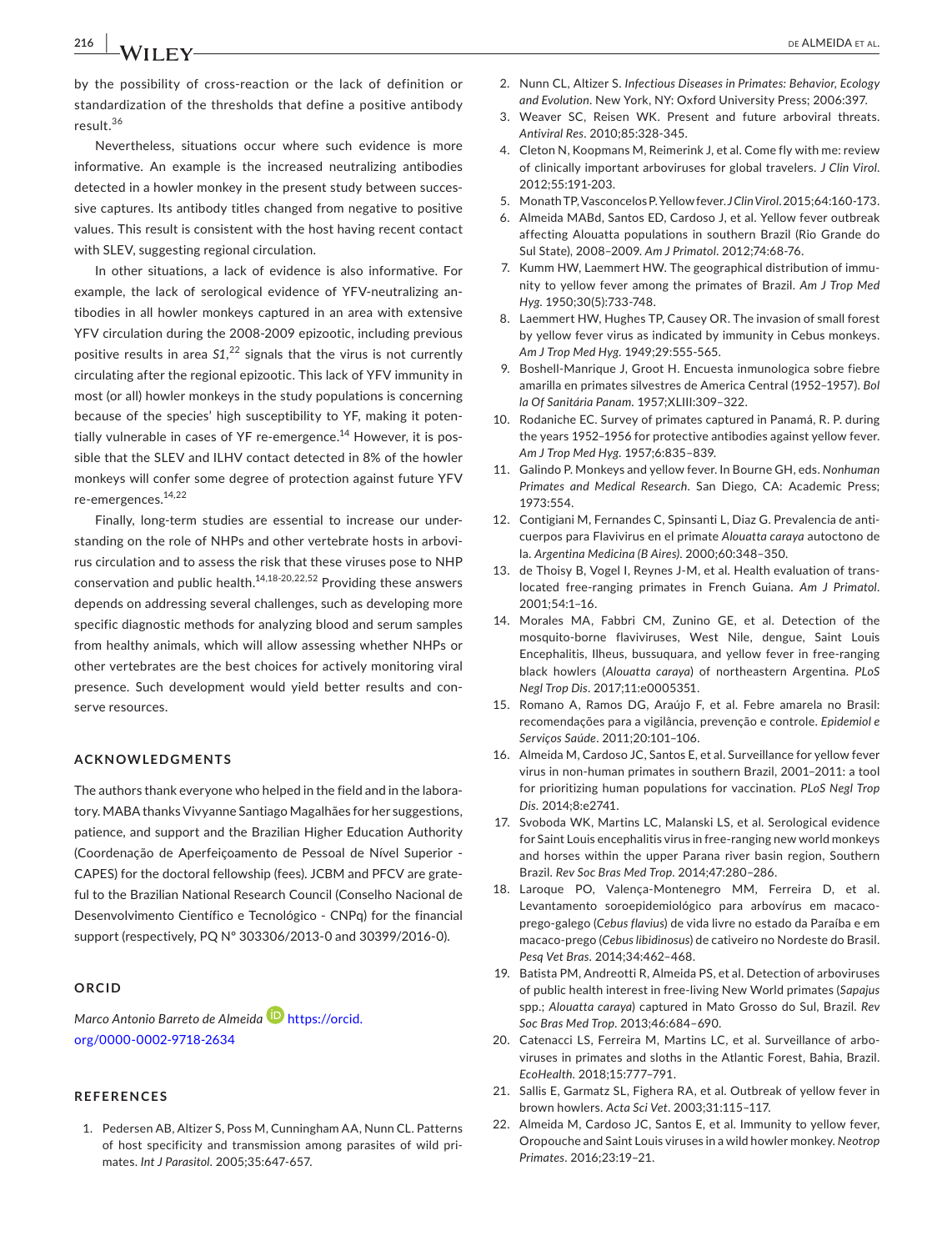**216 |**  de ALMEIDA et al.

by the possibility of cross‐reaction or the lack of definition or standardization of the thresholds that define a positive antibody result.<sup>36</sup>

Nevertheless, situations occur where such evidence is more informative. An example is the increased neutralizing antibodies detected in a howler monkey in the present study between succes‐ sive captures. Its antibody titles changed from negative to positive values. This result is consistent with the host having recent contact with SLEV, suggesting regional circulation.

In other situations, a lack of evidence is also informative. For example, the lack of serological evidence of YFV‐neutralizing an‐ tibodies in all howler monkeys captured in an area with extensive YFV circulation during the 2008‐2009 epizootic, including previous positive results in area *S1*, 22 signals that the virus is not currently circulating after the regional epizootic. This lack of YFV immunity in most (or all) howler monkeys in the study populations is concerning because of the species' high susceptibility to YF, making it poten‐ tially vulnerable in cases of YF re-emergence.<sup>14</sup> However, it is possible that the SLEV and ILHV contact detected in 8% of the howler monkeys will confer some degree of protection against future YFV re‐emergences.14,22

Finally, long-term studies are essential to increase our understanding on the role of NHPs and other vertebrate hosts in arbovi‐ rus circulation and to assess the risk that these viruses pose to NHP conservation and public health.14,18-20,22,52 Providing these answers depends on addressing several challenges, such as developing more specific diagnostic methods for analyzing blood and serum samples from healthy animals, which will allow assessing whether NHPs or other vertebrates are the best choices for actively monitoring viral presence. Such development would yield better results and conserve resources.

#### **ACKNOWLEDGMENTS**

The authors thank everyone who helped in the field and in the labora‐ tory. MABA thanks Vivyanne Santiago Magalhães for her suggestions, patience, and support and the Brazilian Higher Education Authority (Coordenação de Aperfeiçoamento de Pessoal de Nível Superior ‐ CAPES) for the doctoral fellowship (fees). JCBM and PFCV are grate‐ ful to the Brazilian National Research Council (Conselho Nacional de Desenvolvimento Científico e Tecnológico ‐ CNPq) for the financial support (respectively, PQ Nº 303306/2013‐0 and 30399/2016‐0).

## **ORCID**

*Marco Antonio Barreto de Almeida* [https://orcid.](https://orcid.org/0000-0002-9718-2634) [org/0000-0002-9718-2634](https://orcid.org/0000-0002-9718-2634)

#### **REFERENCES**

1. Pedersen AB, Altizer S, Poss M, Cunningham AA, Nunn CL. Patterns of host specificity and transmission among parasites of wild pri‐ mates. *Int J Parasitol*. 2005;35:647‐657.

- 2. Nunn CL, Altizer S. *Infectious Diseases in Primates: Behavior, Ecology and Evolution*. New York, NY: Oxford University Press; 2006:397.
- 3. Weaver SC, Reisen WK. Present and future arboviral threats. *Antiviral Res*. 2010;85:328‐345.
- 4. Cleton N, Koopmans M, Reimerink J, et al. Come fly with me: review of clinically important arboviruses for global travelers. *J Clin Virol*. 2012;55:191‐203.
- 5. Monath TP, Vasconcelos P. Yellow fever. *J Clin Virol*. 2015;64:160‐173.
- 6. Almeida MABd, Santos ED, Cardoso J, et al. Yellow fever outbreak affecting Alouatta populations in southern Brazil (Rio Grande do Sul State), 2008–2009. *Am J Primatol*. 2012;74:68‐76.
- 7. Kumm HW, Laemmert HW. The geographical distribution of immu‐ nity to yellow fever among the primates of Brazil. *Am J Trop Med Hyg*. 1950;30(5):733‐748.
- 8. Laemmert HW, Hughes TP, Causey OR. The invasion of small forest by yellow fever virus as indicated by immunity in Cebus monkeys. *Am J Trop Med Hyg*. 1949;29:555‐565.
- 9. Boshell‐Manrique J, Groot H. Encuesta inmunologica sobre fiebre amarilla en primates silvestres de America Central (1952–1957). *Bol la Of Sanitária Panam*. 1957;XLIII:309–322.
- 10. Rodaniche EC. Survey of primates captured in Panamá, R. P. during the years 1952–1956 for protective antibodies against yellow fever. *Am J Trop Med Hyg*. 1957;6:835–839.
- 11. Galindo P. Monkeys and yellow fever. In Bourne GH, eds. *Nonhuman Primates and Medical Research*. San Diego, CA: Academic Press; 1973:554.
- 12. Contigiani M, Fernandes C, Spinsanti L, Diaz G. Prevalencia de anti‐ cuerpos para Flavivirus en el primate *Alouatta caraya* autoctono de la. *Argentina Medicina (B Aires)*. 2000;60:348–350.
- 13. de Thoisy B, Vogel I, Reynes J-M, et al. Health evaluation of translocated free‐ranging primates in French Guiana. *Am J Primatol*. 2001;54:1–16.
- 14. Morales MA, Fabbri CM, Zunino GE, et al. Detection of the mosquito‐borne flaviviruses, West Nile, dengue, Saint Louis Encephalitis, Ilheus, bussuquara, and yellow fever in free‐ranging black howlers (*Alouatta caraya*) of northeastern Argentina. *PLoS Negl Trop Dis*. 2017;11:e0005351.
- 15. Romano A, Ramos DG, Araújo F, et al. Febre amarela no Brasil: recomendações para a vigilância, prevenção e controle. *Epidemiol e Serviços Saúde*. 2011;20:101–106.
- 16. Almeida M, Cardoso JC, Santos E, et al. Surveillance for yellow fever virus in non‐human primates in southern Brazil, 2001–2011: a tool for prioritizing human populations for vaccination. *PLoS Negl Trop Dis*. 2014;8:e2741.
- 17. Svoboda WK, Martins LC, Malanski LS, et al. Serological evidence for Saint Louis encephalitis virus in free‐ranging new world monkeys and horses within the upper Parana river basin region, Southern Brazil. *Rev Soc Bras Med Trop*. 2014;47:280–286.
- 18. Laroque PO, Valença‐Montenegro MM, Ferreira D, et al. Levantamento soroepidemiológico para arbovírus em macaco‐ prego‐galego (*Cebus flavius*) de vida livre no estado da Paraíba e em macaco‐prego (*Cebus libidinosus*) de cativeiro no Nordeste do Brasil. *Pesq Vet Bras*. 2014;34:462–468.
- 19. Batista PM, Andreotti R, Almeida PS, et al. Detection of arboviruses of public health interest in free‐living New World primates (*Sapajus* spp.; *Alouatta caraya*) captured in Mato Grosso do Sul, Brazil. *Rev Soc Bras Med Trop*. 2013;46:684–690.
- 20. Catenacci LS, Ferreira M, Martins LC, et al. Surveillance of arbo‐ viruses in primates and sloths in the Atlantic Forest, Bahia, Brazil. *EcoHealth*. 2018;15:777–791.
- 21. Sallis E, Garmatz SL, Fighera RA, et al. Outbreak of yellow fever in brown howlers. *Acta Sci Vet*. 2003;31:115–117.
- 22. Almeida M, Cardoso JC, Santos E, et al. Immunity to yellow fever, Oropouche and Saint Louis viruses in a wild howler monkey. *Neotrop Primates*. 2016;23:19–21.